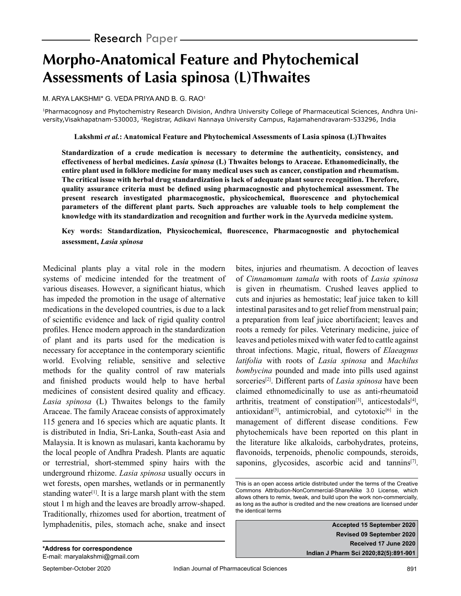# **Morpho-Anatomical Feature and Phytochemical Assessments of Lasia spinosa (L)Thwaites**

M. ARYA LAKSHMI\* G. VEDA PRIYA AND B. G. RAO<sup>1</sup>

1Pharmacognosy and Phytochemistry Research Division, Andhra University College of Pharmaceutical Sciences, Andhra University, Visakhapatnam-530003, <sup>2</sup>Registrar, Adikavi Nannaya University Campus, Rajamahendravaram-533296, India

**Lakshmi** *et al.***: Anatomical Feature and Phytochemical Assessments of Lasia spinosa (L)Thwaites**

**Standardization of a crude medication is necessary to determine the authenticity, consistency, and effectiveness of herbal medicines.** *Lasia spinosa* **(L) Thwaites belongs to Araceae. Ethanomedicinally, the entire plant used in folklore medicine for many medical uses such as cancer, constipation and rheumatism. The critical issue with herbal drug standardization is lack of adequate plant source recognition. Therefore, quality assurance criteria must be defined using pharmacognostic and phytochemical assessment. The present research investigated pharmacognostic, physicochemical, fluorescence and phytochemical parameters of the different plant parts. Such approaches are valuable tools to help complement the knowledge with its standardization and recognition and further work in the Ayurveda medicine system.**

## **Key words: Standardization, Physicochemical, fluorescence, Pharmacognostic and phytochemical assessment,** *Lasia spinosa*

Medicinal plants play a vital role in the modern systems of medicine intended for the treatment of various diseases. However, a significant hiatus, which has impeded the promotion in the usage of alternative medications in the developed countries, is due to a lack of scientific evidence and lack of rigid quality control profiles. Hence modern approach in the standardization of plant and its parts used for the medication is necessary for acceptance in the contemporary scientific world. Evolving reliable, sensitive and selective methods for the quality control of raw materials and finished products would help to have herbal medicines of consistent desired quality and efficacy. *Lasia spinosa* (L) Thwaites belongs to the family Araceae. The family Araceae consists of approximately 115 genera and 16 species which are aquatic plants. It is distributed in India, Sri-Lanka, South-east Asia and Malaysia. It is known as mulasari, kanta kachoramu by the local people of Andhra Pradesh. Plants are aquatic or terrestrial, short-stemmed spiny hairs with the underground rhizome. *Lasia spinosa* usually occurs in wet forests, open marshes, wetlands or in permanently standing water<sup>[1]</sup>. It is a large marsh plant with the stem stout 1 m high and the leaves are broadly arrow-shaped. Traditionally, rhizomes used for abortion, treatment of lymphadenitis, piles, stomach ache, snake and insect bites, injuries and rheumatism. A decoction of leaves of *Cinnamomum tamala* with roots of *Lasia spinosa* is given in rheumatism. Crushed leaves applied to cuts and injuries as hemostatic; leaf juice taken to kill intestinal parasites and to get relief from menstrual pain; a preparation from leaf juice abortifacient; leaves and roots a remedy for piles. Veterinary medicine, juice of leaves and petioles mixed with water fed to cattle against throat infections. Magic, ritual, flowers of *Elaeagnus latifolia* with roots of *Lasia spinosa* and *Machilus bombycina* pounded and made into pills used against sorceries[2]. Different parts of *Lasia spinosa* have been claimed ethnomedicinally to use as anti-rheumatoid arthritis, treatment of constipation<sup>[3]</sup>, anticestodals<sup>[4]</sup>, antioxidant<sup>[5]</sup>, antimicrobial, and cytotoxic<sup>[6]</sup> in the management of different disease conditions. Few phytochemicals have been reported on this plant in the literature like alkaloids, carbohydrates, proteins, flavonoids, terpenoids, phenolic compounds, steroids, saponins, glycosides, ascorbic acid and tannins<sup>[7]</sup>.

**Accepted 15 September 2020 Revised 09 September 2020 Received 17 June 2020 Indian J Pharm Sci 2020;82(5):891-901**

This is an open access article distributed under the terms of the Creative Commons Attribution-NonCommercial-ShareAlike 3.0 License, which allows others to remix, tweak, and build upon the work non-commercially, as long as the author is credited and the new creations are licensed under the identical terms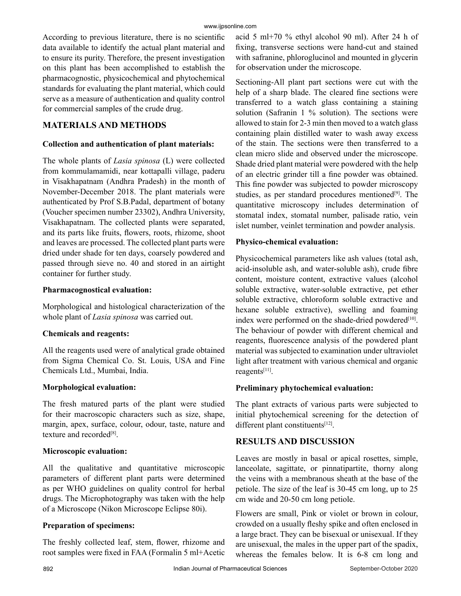According to previous literature, there is no scientific data available to identify the actual plant material and to ensure its purity. Therefore, the present investigation on this plant has been accomplished to establish the pharmacognostic, physicochemical and phytochemical standards for evaluating the plant material, which could serve as a measure of authentication and quality control for commercial samples of the crude drug.

## **MATERIALS AND METHODS**

## **Collection and authentication of plant materials:**

The whole plants of *Lasia spinosa* (L) were collected from kommulamamidi, near kottapalli village, paderu in Visakhapatnam (Andhra Pradesh) in the month of November-December 2018. The plant materials were authenticated by Prof S.B.Padal, department of botany (Voucher specimen number 23302), Andhra University, Visakhapatnam. The collected plants were separated, and its parts like fruits, flowers, roots, rhizome, shoot and leaves are processed. The collected plant parts were dried under shade for ten days, coarsely powdered and passed through sieve no. 40 and stored in an airtight container for further study.

## **Pharmacognostical evaluation:**

Morphological and histological characterization of the whole plant of *Lasia spinosa* was carried out.

## **Chemicals and reagents:**

All the reagents used were of analytical grade obtained from Sigma Chemical Co. St. Louis, USA and Fine Chemicals Ltd., Mumbai, India.

## **Morphological evaluation:**

The fresh matured parts of the plant were studied for their macroscopic characters such as size, shape, margin, apex, surface, colour, odour, taste, nature and texture and recorded<sup>[8]</sup>.

## **Microscopic evaluation:**

All the qualitative and quantitative microscopic parameters of different plant parts were determined as per WHO guidelines on quality control for herbal drugs. The Microphotography was taken with the help of a Microscope (Nikon Microscope Eclipse 80i).

## **Preparation of specimens:**

The freshly collected leaf, stem, flower, rhizome and root samples were fixed in FAA (Formalin 5 ml+Acetic acid 5 ml+70 % ethyl alcohol 90 ml). After 24 h of fixing, transverse sections were hand-cut and stained with safranine, phloroglucinol and mounted in glycerin for observation under the microscope.

Sectioning-All plant part sections were cut with the help of a sharp blade. The cleared fine sections were transferred to a watch glass containing a staining solution (Safranin 1 % solution). The sections were allowed to stain for 2-3 min then moved to a watch glass containing plain distilled water to wash away excess of the stain. The sections were then transferred to a clean micro slide and observed under the microscope. Shade dried plant material were powdered with the help of an electric grinder till a fine powder was obtained. This fine powder was subjected to powder microscopy studies, as per standard procedures mentioned<sup>[9]</sup>. The quantitative microscopy includes determination of stomatal index, stomatal number, palisade ratio, vein islet number, veinlet termination and powder analysis.

## **Physico-chemical evaluation:**

Physicochemical parameters like ash values (total ash, acid-insoluble ash, and water-soluble ash), crude fibre content, moisture content, extractive values (alcohol soluble extractive, water-soluble extractive, pet ether soluble extractive, chloroform soluble extractive and hexane soluble extractive), swelling and foaming index were performed on the shade-dried powdered $[10]$ . The behaviour of powder with different chemical and reagents, fluorescence analysis of the powdered plant material was subjected to examination under ultraviolet light after treatment with various chemical and organic reagents[11].

## **Preliminary phytochemical evaluation:**

The plant extracts of various parts were subjected to initial phytochemical screening for the detection of different plant constituents<sup>[12]</sup>.

# **RESULTS AND DISCUSSION**

Leaves are mostly in basal or apical rosettes, simple, lanceolate, sagittate, or pinnatipartite, thorny along the veins with a membranous sheath at the base of the petiole. The size of the leaf is 30-45 cm long, up to 25 cm wide and 20-50 cm long petiole.

Flowers are small, Pink or violet or brown in colour, crowded on a usually fleshy spike and often enclosed in a large bract. They can be bisexual or unisexual. If they are unisexual, the males in the upper part of the spadix, whereas the females below. It is 6-8 cm long and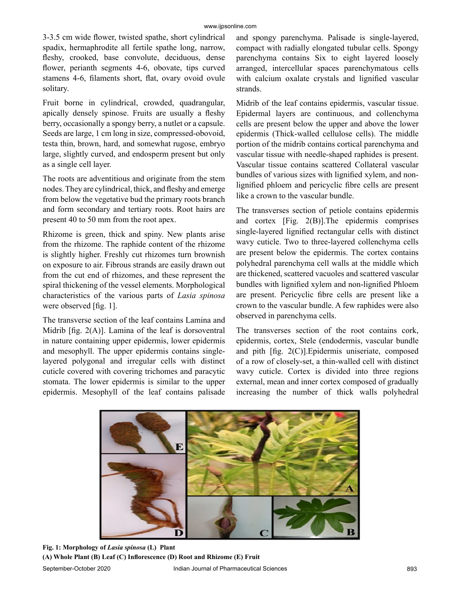3-3.5 cm wide flower, twisted spathe, short cylindrical spadix, hermaphrodite all fertile spathe long, narrow, fleshy, crooked, base convolute, deciduous, dense flower, perianth segments 4-6, obovate, tips curved stamens 4-6, filaments short, flat, ovary ovoid ovule solitary.

Fruit borne in cylindrical, crowded, quadrangular, apically densely spinose. Fruits are usually a fleshy berry, occasionally a spongy berry, a nutlet or a capsule. Seeds are large, 1 cm long in size, compressed-obovoid, testa thin, brown, hard, and somewhat rugose, embryo large, slightly curved, and endosperm present but only as a single cell layer.

The roots are adventitious and originate from the stem nodes. They are cylindrical, thick, and fleshy and emerge from below the vegetative bud the primary roots branch and form secondary and tertiary roots. Root hairs are present 40 to 50 mm from the root apex.

Rhizome is green, thick and spiny. New plants arise from the rhizome. The raphide content of the rhizome is slightly higher. Freshly cut rhizomes turn brownish on exposure to air. Fibrous strands are easily drawn out from the cut end of rhizomes, and these represent the spiral thickening of the vessel elements. Morphological characteristics of the various parts of *Lasia spinosa* were observed [fig. 1].

The transverse section of the leaf contains Lamina and Midrib  $[fig. 2(A)]$ . Lamina of the leaf is dorsoventral in nature containing upper epidermis, lower epidermis and mesophyll. The upper epidermis contains singlelayered polygonal and irregular cells with distinct cuticle covered with covering trichomes and paracytic stomata. The lower epidermis is similar to the upper epidermis. Mesophyll of the leaf contains palisade and spongy parenchyma. Palisade is single-layered, compact with radially elongated tubular cells. Spongy parenchyma contains Six to eight layered loosely arranged, intercellular spaces parenchymatous cells with calcium oxalate crystals and lignified vascular strands.

Midrib of the leaf contains epidermis, vascular tissue. Epidermal layers are continuous, and collenchyma cells are present below the upper and above the lower epidermis (Thick-walled cellulose cells). The middle portion of the midrib contains cortical parenchyma and vascular tissue with needle-shaped raphides is present. Vascular tissue contains scattered Collateral vascular bundles of various sizes with lignified xylem, and nonlignified phloem and pericyclic fibre cells are present like a crown to the vascular bundle.

The transverses section of petiole contains epidermis and cortex [Fig. 2(B)].The epidermis comprises single-layered lignified rectangular cells with distinct wavy cuticle. Two to three-layered collenchyma cells are present below the epidermis. The cortex contains polyhedral parenchyma cell walls at the middle which are thickened, scattered vacuoles and scattered vascular bundles with lignified xylem and non-lignified Phloem are present. Pericyclic fibre cells are present like a crown to the vascular bundle. A few raphides were also observed in parenchyma cells.

The transverses section of the root contains cork, epidermis, cortex, Stele (endodermis, vascular bundle and pith [fig. 2(C)].Epidermis uniseriate, composed of a row of closely-set, a thin-walled cell with distinct wavy cuticle. Cortex is divided into three regions external, mean and inner cortex composed of gradually increasing the number of thick walls polyhedral

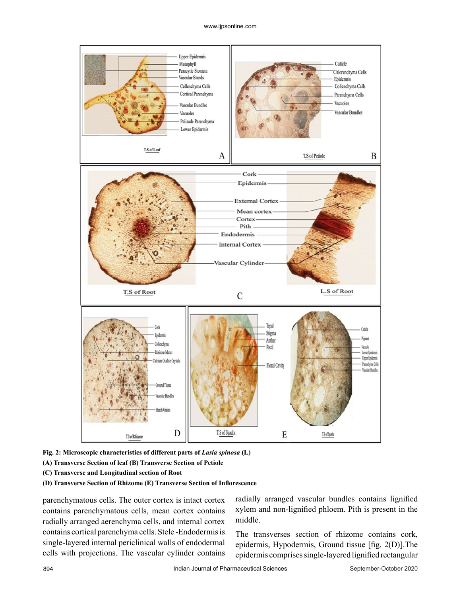

**Fig. 2: Microscopic characteristics of different parts of** *Lasia spinosa* **(L)**

- **(A) Transverse Section of leaf (B) Transverse Section of Petiole**
- **(C) Transverse and Longitudinal section of Root**
- **(D) Transverse Section of Rhizome (E) Transverse Section of Inflorescence**

parenchymatous cells. The outer cortex is intact cortex contains parenchymatous cells, mean cortex contains radially arranged aerenchyma cells, and internal cortex contains cortical parenchyma cells. Stele -Endodermis is single-layered internal periclinical walls of endodermal cells with projections. The vascular cylinder contains radially arranged vascular bundles contains lignified xylem and non-lignified phloem. Pith is present in the middle.

The transverses section of rhizome contains cork, epidermis, Hypodermis, Ground tissue [fig. 2(D)].The epidermis comprises single-layered lignified rectangular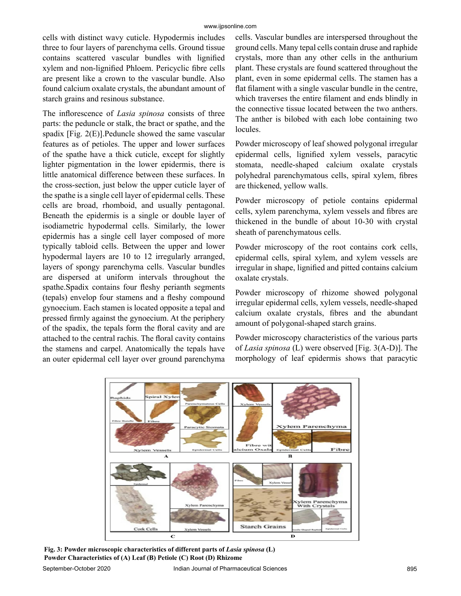cells with distinct wavy cuticle. Hypodermis includes three to four layers of parenchyma cells. Ground tissue contains scattered vascular bundles with lignified xylem and non-lignified Phloem. Pericyclic fibre cells are present like a crown to the vascular bundle. Also found calcium oxalate crystals, the abundant amount of starch grains and resinous substance.

The inflorescence of *Lasia spinosa* consists of three parts: the peduncle or stalk, the bract or spathe, and the spadix [Fig. 2(E)].Peduncle showed the same vascular features as of petioles. The upper and lower surfaces of the spathe have a thick cuticle, except for slightly lighter pigmentation in the lower epidermis, there is little anatomical difference between these surfaces. In the cross-section, just below the upper cuticle layer of the spathe is a single cell layer of epidermal cells. These cells are broad, rhomboid, and usually pentagonal. Beneath the epidermis is a single or double layer of isodiametric hypodermal cells. Similarly, the lower epidermis has a single cell layer composed of more typically tabloid cells. Between the upper and lower hypodermal layers are 10 to 12 irregularly arranged, layers of spongy parenchyma cells. Vascular bundles are dispersed at uniform intervals throughout the spathe.Spadix contains four fleshy perianth segments (tepals) envelop four stamens and a fleshy compound gynoecium. Each stamen is located opposite a tepal and pressed firmly against the gynoecium. At the periphery of the spadix, the tepals form the floral cavity and are attached to the central rachis. The floral cavity contains the stamens and carpel. Anatomically the tepals have an outer epidermal cell layer over ground parenchyma cells. Vascular bundles are interspersed throughout the ground cells. Many tepal cells contain druse and raphide crystals, more than any other cells in the anthurium plant. These crystals are found scattered throughout the plant, even in some epidermal cells. The stamen has a flat filament with a single vascular bundle in the centre, which traverses the entire filament and ends blindly in the connective tissue located between the two anthers. The anther is bilobed with each lobe containing two locules.

Powder microscopy of leaf showed polygonal irregular epidermal cells, lignified xylem vessels, paracytic stomata, needle-shaped calcium oxalate crystals polyhedral parenchymatous cells, spiral xylem, fibres are thickened, yellow walls.

Powder microscopy of petiole contains epidermal cells, xylem parenchyma, xylem vessels and fibres are thickened in the bundle of about 10-30 with crystal sheath of parenchymatous cells.

Powder microscopy of the root contains cork cells, epidermal cells, spiral xylem, and xylem vessels are irregular in shape, lignified and pitted contains calcium oxalate crystals.

Powder microscopy of rhizome showed polygonal irregular epidermal cells, xylem vessels, needle-shaped calcium oxalate crystals, fibres and the abundant amount of polygonal-shaped starch grains.

Powder microscopy characteristics of the various parts of *Lasia spinosa* (L) were observed [Fig. 3(A-D)]. The morphology of leaf epidermis shows that paracytic



**Fig. 3: Powder microscopic characteristics of different parts of** *Lasia spinosa* **(L) Powder Characteristics of (A) Leaf (B) Petiole (C) Root (D) Rhizome**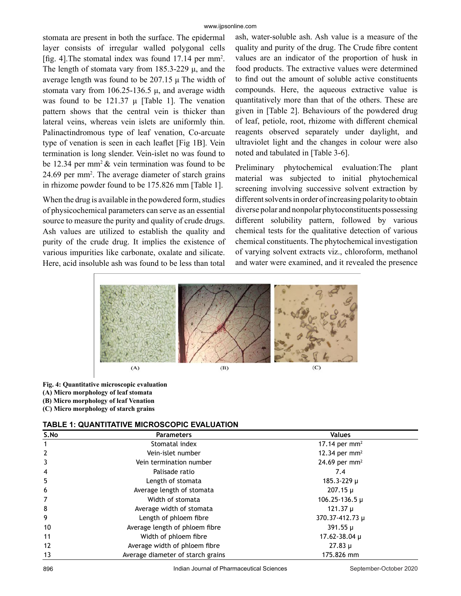stomata are present in both the surface. The epidermal layer consists of irregular walled polygonal cells [fig. 4].The stomatal index was found 17.14 per mm<sup>2</sup> . The length of stomata vary from  $185.3-229 \mu$ , and the average length was found to be 207.15 μ The width of stomata vary from  $106.25 - 136.5 \mu$ , and average width was found to be 121.37 μ [Table 1]. The venation pattern shows that the central vein is thicker than lateral veins, whereas vein islets are uniformly thin. Palinactindromous type of leaf venation, Co-arcuate type of venation is seen in each leaflet [Fig 1B]. Vein termination is long slender. Vein-islet no was found to be 12.34 per mm<sup>2</sup>  $\&$  vein termination was found to be 24.69 per mm<sup>2</sup>. The average diameter of starch grains in rhizome powder found to be 175.826 mm [Table 1].

When the drug is available in the powdered form, studies of physicochemical parameters can serve as an essential source to measure the purity and quality of crude drugs. Ash values are utilized to establish the quality and purity of the crude drug. It implies the existence of various impurities like carbonate, oxalate and silicate. Here, acid insoluble ash was found to be less than total ash, water-soluble ash. Ash value is a measure of the quality and purity of the drug. The Crude fibre content values are an indicator of the proportion of husk in food products. The extractive values were determined to find out the amount of soluble active constituents compounds. Here, the aqueous extractive value is quantitatively more than that of the others. These are given in [Table 2]. Behaviours of the powdered drug of leaf, petiole, root, rhizome with different chemical reagents observed separately under daylight, and ultraviolet light and the changes in colour were also noted and tabulated in [Table 3-6].

Preliminary phytochemical evaluation:The plant material was subjected to initial phytochemical screening involving successive solvent extraction by different solvents in order of increasing polarity to obtain diverse polar and nonpolar phytoconstituents possessing different solubility pattern, followed by various chemical tests for the qualitative detection of various chemical constituents. The phytochemical investigation of varying solvent extracts viz., chloroform, methanol and water were examined, and it revealed the presence



**Fig. 4: Quantitative microscopic evaluation**

- **(A) Micro morphology of leaf stomata**
- **(B) Micro morphology of leaf Venation**
- **(C) Micro morphology of starch grains**

| <b>TABLE 1: QUANTITATIVE MICROSCOPIC EVALUATION</b> |
|-----------------------------------------------------|
|-----------------------------------------------------|

| S.No           | <b>Parameters</b>                 | <b>Values</b>             |
|----------------|-----------------------------------|---------------------------|
|                | Stomatal index                    | 17.14 per mm <sup>2</sup> |
| $\overline{2}$ | Vein-islet number                 | 12.34 per $mm2$           |
| 3              | Vein termination number           | 24.69 per mm <sup>2</sup> |
| $\overline{4}$ | Palisade ratio                    | 7.4                       |
| 5              | Length of stomata                 | 185.3-229 µ               |
| 6              | Average length of stomata         | $207.15 \mu$              |
| 7              | Width of stomata                  | $106.25 - 136.5 \mu$      |
| 8              | Average width of stomata          | 121.37 µ                  |
| 9              | Length of phloem fibre            | 370.37-412.73 µ           |
| 10             | Average length of phloem fibre    | $391.55 \mu$              |
| 11             | Width of phloem fibre             | 17.62-38.04 µ             |
| 12             | Average width of phloem fibre     | $27.83 \mu$               |
| 13             | Average diameter of starch grains | 175.826 mm                |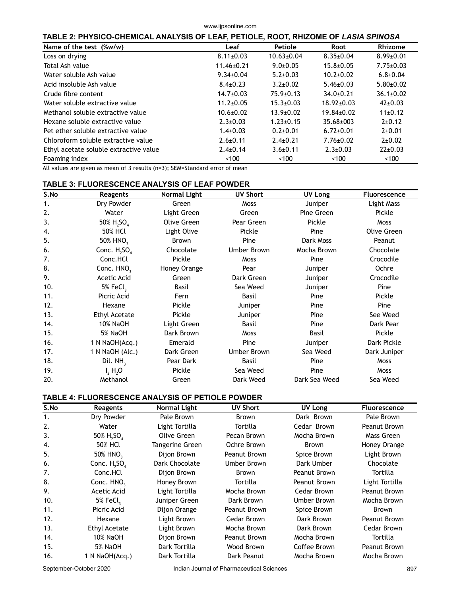**TABLE 2: PHYSICO-CHEMICAL ANALYSIS OF LEAF, PETIOLE, ROOT, RHIZOME OF** *LASIA SPINOSA*

| Name of the test (%w/w)                | Leaf             | <b>Petiole</b>   | Root             | Rhizome         |
|----------------------------------------|------------------|------------------|------------------|-----------------|
| Loss on drying                         | $8.11 \pm 0.03$  | $10.63 \pm 0.04$ | $8.35 \pm 0.04$  | $8.99 \pm 0.01$ |
| Total Ash value                        | $11.46 \pm 0.21$ | $9.0 \pm 0.05$   | $15.8 \pm 0.05$  | $7.75 \pm 0.03$ |
| Water soluble Ash value                | $9.34 \pm 0.04$  | $5.2{\pm}0.03$   | $10.2 \pm 0.02$  | $6.8{\pm}0.04$  |
| Acid insoluble Ash value               | $8.4 \pm 0.23$   | $3.2 \pm 0.02$   | $5.46 \pm 0.03$  | $5.80{\pm}0.02$ |
| Crude fibre content                    | $14.7 \pm 0.03$  | $75.9 \pm 0.13$  | $34.0 \pm 0.21$  | $36.1 \pm 0.02$ |
| Water soluble extractive value         | $11.2 \pm 0.05$  | $15.3 \pm 0.03$  | $18.92 \pm 0.03$ | $42 \pm 0.03$   |
| Methanol soluble extractive value      | $10.6 \pm 0.02$  | $13.9 \pm 0.02$  | $19.84 \pm 0.02$ | $11\pm0.12$     |
| Hexane soluble extractive value        | $2.3 \pm 0.03$   | $1.23 \pm 0.15$  | $35.68 \pm 003$  | $2+0.12$        |
| Pet ether soluble extractive value     | $1.4 \pm 0.03$   | $0.2{\pm}0.01$   | $6.72 \pm 0.01$  | $2+0.01$        |
| Chloroform soluble extractive value    | $2.6 \pm 0.11$   | $2.4 \pm 0.21$   | $7.76 \pm 0.02$  | $2+0.02$        |
| Ethyl acetate soluble extractive value | $2.4 \pm 0.14$   | $3.6 \pm 0.11$   | $2.3 \pm 0.03$   | $22 \pm 0.03$   |
| Foaming index                          | $~<$ 100         | $~<$ 100         | ~100             | ~100            |

All values are given as mean of 3 results (n=3); SEM=Standard error of mean

## **TABLE 3: FLUORESCENCE ANALYSIS OF LEAF POWDER**

| S.No           | Reagents                           | <b>Normal Light</b> | <b>UV Short</b> | UV Long       | Fluorescence |
|----------------|------------------------------------|---------------------|-----------------|---------------|--------------|
| $\mathbf{1}$ . | Dry Powder                         | Green               | <b>Moss</b>     | Juniper       | Light Mass   |
| 2.             | Water                              | Light Green         | Green           | Pine Green    | Pickle       |
| 3.             | 50% H <sub>2</sub> SO <sub>4</sub> | <b>Olive Green</b>  | Pear Green      | Pickle        | <b>Moss</b>  |
| 4.             | <b>50% HCl</b>                     | Light Olive         | Pickle          | Pine          | Olive Green  |
| 5.             | 50% HNO <sub>3</sub>               | Brown               | Pine            | Dark Moss     | Peanut       |
| 6.             | Conc. $H_2SO_4$                    | Chocolate           | Umber Brown     | Mocha Brown   | Chocolate    |
| 7.             | Conc.HCl                           | Pickle              | <b>Moss</b>     | Pine          | Crocodile    |
| 8.             | Conc. HNO <sub>3</sub>             | Honey Orange        | Pear            | Juniper       | Ochre        |
| 9.             | Acetic Acid                        | Green               | Dark Green      | Juniper       | Crocodile    |
| 10.            | 5% FeCl,                           | Basil               | Sea Weed        | Juniper       | Pine         |
| 11.            | Picric Acid                        | Fern                | <b>Basil</b>    | Pine          | Pickle       |
| 12.            | Hexane                             | Pickle              | Juniper         | Pine          | Pine         |
| 13.            | Ethyl Acetate                      | Pickle              | Juniper         | Pine          | See Weed     |
| 14.            | <b>10% NaOH</b>                    | Light Green         | Basil           | Pine          | Dark Pear    |
| 15.            | 5% NaOH                            | Dark Brown          | <b>Moss</b>     | <b>Basil</b>  | Pickle       |
| 16.            | 1 N NaOH(Acq.)                     | Emerald             | Pine            | Juniper       | Dark Pickle  |
| 17.            | 1 N NaOH (Alc.)                    | Dark Green          | Umber Brown     | Sea Weed      | Dark Juniper |
| 18.            | Dil. NH <sub>2</sub>               | Pear Dark           | Basil           | Pine          | <b>Moss</b>  |
| 19.            | I, H, O                            | Pickle              | Sea Weed        | Pine          | <b>Moss</b>  |
| 20.            | Methanol                           | Green               | Dark Weed       | Dark Sea Weed | Sea Weed     |

## **TABLE 4: FLUORESCENCE ANALYSIS OF PETIOLE POWDER**

| S.No | Reagents                           | Normal Light    | <b>UV Short</b> | UV Long      | <b>Fluorescence</b> |
|------|------------------------------------|-----------------|-----------------|--------------|---------------------|
| 1.   | Dry Powder                         | Pale Brown      | Brown           | Dark Brown   | Pale Brown          |
| 2.   | Water                              | Light Tortilla  | Tortilla        | Cedar Brown  | Peanut Brown        |
| 3.   | 50% H <sub>2</sub> SO <sub>4</sub> | Olive Green     | Pecan Brown     | Mocha Brown  | Mass Green          |
| 4.   | 50% HCl                            | Tangerine Green | Ochre Brown     | Brown        | Honey Orange        |
| 5.   | 50% HNO <sub>3</sub>               | Dijon Brown     | Peanut Brown    | Spice Brown  | Light Brown         |
| 6.   | Conc. $H_2SO_4$                    | Dark Chocolate  | Umber Brown     | Dark Umber   | Chocolate           |
| 7.   | Conc.HCl                           | Dijon Brown     | Brown           | Peanut Brown | Tortilla            |
| 8.   | Conc. HNO <sub>3</sub>             | Honey Brown     | Tortilla        | Peanut Brown | Light Tortilla      |
| 9.   | Acetic Acid                        | Light Tortilla  | Mocha Brown     | Cedar Brown  | Peanut Brown        |
| 10.  | 5% FeCl,                           | Juniper Green   | Dark Brown      | Umber Brown  | Mocha Brown         |
| 11.  | Picric Acid                        | Dijon Orange    | Peanut Brown    | Spice Brown  | Brown               |
| 12.  | Hexane                             | Light Brown     | Cedar Brown     | Dark Brown   | Peanut Brown        |
| 13.  | Ethyl Acetate                      | Light Brown     | Mocha Brown     | Dark Brown   | Cedar Brown         |
| 14.  | <b>10% NaOH</b>                    | Dijon Brown     | Peanut Brown    | Mocha Brown  | Tortilla            |
| 15.  | 5% NaOH                            | Dark Tortilla   | Wood Brown      | Coffee Brown | Peanut Brown        |
| 16.  | 1 N NaOH(Acq.)                     | Dark Tortilla   | Dark Peanut     | Mocha Brown  | Mocha Brown         |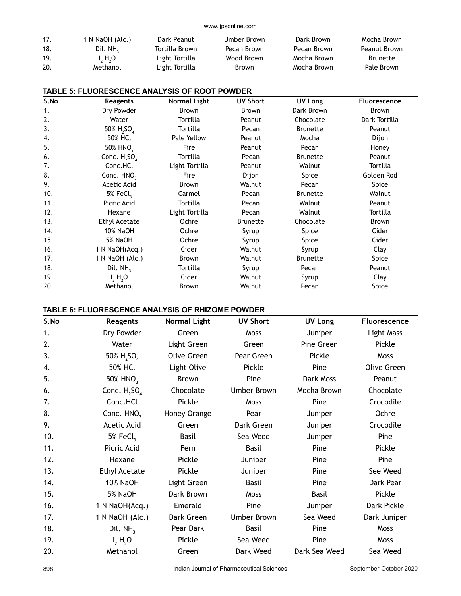| 17. | 1 N NaOH (Alc.) | Dark Peanut    | Umber Brown | Dark Brown  | Mocha Brown     |
|-----|-----------------|----------------|-------------|-------------|-----------------|
| 18. | Dil. $NH3$      | Tortilla Brown | Pecan Brown | Pecan Brown | Peanut Brown    |
| 19. | I, H, O         | Light Tortilla | Wood Brown  | Mocha Brown | <b>Brunette</b> |
| 20. | Methanol        | Light Tortilla | Brown       | Mocha Brown | Pale Brown      |

| <b>TABLE 5: FLUORESCENCE ANALYSIS OF ROOT POWDER</b> |
|------------------------------------------------------|
|------------------------------------------------------|

| S.No | Reagents                           | <b>Normal Light</b> | <b>UV Short</b> | UV Long         | <b>Fluorescence</b> |
|------|------------------------------------|---------------------|-----------------|-----------------|---------------------|
| 1.   | Dry Powder                         | Brown               | Brown           | Dark Brown      | Brown               |
| 2.   | Water                              | Tortilla            | Peanut          | Chocolate       | Dark Tortilla       |
| 3.   | 50% H <sub>2</sub> SO <sub>4</sub> | Tortilla            | Pecan           | <b>Brunette</b> | Peanut              |
| 4.   | <b>50% HCl</b>                     | Pale Yellow         | Peanut          | Mocha           | Dijon               |
| 5.   | 50% HNO <sub>3</sub>               | Fire                | Peanut          | Pecan           | Honey               |
| 6.   | Conc. $H_2SO_4$                    | Tortilla            | Pecan           | <b>Brunette</b> | Peanut              |
| 7.   | Conc.HCl                           | Light Tortilla      | Peanut          | Walnut          | Tortilla            |
| 8.   | Conc. HNO <sub>3</sub>             | Fire                | Dijon           | Spice           | Golden Rod          |
| 9.   | Acetic Acid                        | Brown               | Walnut          | Pecan           | Spice               |
| 10.  | 5% FeCl,                           | Carmel              | Pecan           | <b>Brunette</b> | Walnut              |
| 11.  | Picric Acid                        | Tortilla            | Pecan           | Walnut          | Peanut              |
| 12.  | Hexane                             | Light Tortilla      | Pecan           | Walnut          | Tortilla            |
| 13.  | <b>Ethyl Acetate</b>               | Ochre               | <b>Brunette</b> | Chocolate       | <b>Brown</b>        |
| 14.  | <b>10% NaOH</b>                    | Ochre               | Syrup           | Spice           | Cider               |
| 15   | 5% NaOH                            | Ochre               | Syrup           | Spice           | Cider               |
| 16.  | 1 N NaOH(Acq.)                     | Cider               | Walnut          | Syrup           | Clay                |
| 17.  | 1 N NaOH (Alc.)                    | Brown               | Walnut          | <b>Brunette</b> | Spice               |
| 18.  | Dil. $NH3$                         | Tortilla            | Syrup           | Pecan           | Peanut              |
| 19.  | $I_2$ H <sub>2</sub> O             | Cider               | Walnut          | Syrup           | Clay                |
| 20.  | Methanol                           | Brown               | Walnut          | Pecan           | Spice               |

## **TABLE 6: FLUORESCENCE ANALYSIS OF RHIZOME POWDER**

| S.No | <b>Reagents</b>                    | <b>Normal Light</b> | <b>UV Short</b>    | <b>UV Long</b> | <b>Fluorescence</b> |
|------|------------------------------------|---------------------|--------------------|----------------|---------------------|
| 1.   | Dry Powder                         | Green               | Moss               | Juniper        | Light Mass          |
| 2.   | Water                              | Light Green         | Green              | Pine Green     | Pickle              |
| 3.   | 50% H <sub>2</sub> SO <sub>4</sub> | Olive Green         | Pear Green         | Pickle         | Moss                |
| 4.   | <b>50% HCl</b>                     | Light Olive         | Pickle             | Pine           | Olive Green         |
| 5.   | 50% HNO <sub>3</sub>               | Brown               | Pine               | Dark Moss      | Peanut              |
| 6.   | Conc. $H_2SO_4$                    | Chocolate           | <b>Umber Brown</b> | Mocha Brown    | Chocolate           |
| 7.   | Conc.HCl                           | Pickle              | Moss               | Pine           | Crocodile           |
| 8.   | Conc. HNO <sub>3</sub>             | Honey Orange        | Pear               | Juniper        | Ochre               |
| 9.   | Acetic Acid                        | Green               | Dark Green         | Juniper        | Crocodile           |
| 10.  | 5% FeCl,                           | <b>Basil</b>        | Sea Weed           | Juniper        | Pine                |
| 11.  | Picric Acid                        | Fern                | <b>Basil</b>       | Pine           | Pickle              |
| 12.  | Hexane                             | Pickle              | Juniper            | Pine           | Pine                |
| 13.  | <b>Ethyl Acetate</b>               | Pickle              | Juniper            | Pine           | See Weed            |
| 14.  | <b>10% NaOH</b>                    | Light Green         | <b>Basil</b>       | Pine           | Dark Pear           |
| 15.  | 5% NaOH                            | Dark Brown          | Moss               | <b>Basil</b>   | Pickle              |
| 16.  | 1 N NaOH(Acq.)                     | Emerald             | Pine               | Juniper        | Dark Pickle         |
| 17.  | 1 N NaOH (Alc.)                    | Dark Green          | <b>Umber Brown</b> | Sea Weed       | Dark Juniper        |
| 18.  | Dil. NH <sub>3</sub>               | Pear Dark           | <b>Basil</b>       | Pine           | Moss                |
| 19.  | $I_2 H_2 O$                        | Pickle              | Sea Weed           | Pine           | Moss                |
| 20.  | Methanol                           | Green               | Dark Weed          | Dark Sea Weed  | Sea Weed            |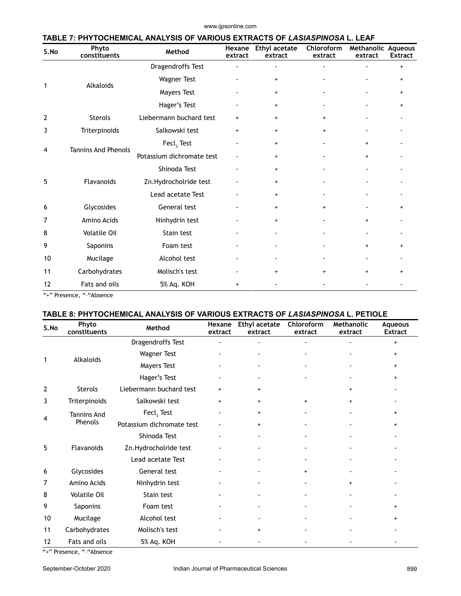| S.No | Phyto<br>constituents      | Method                    | Hexane<br>extract | <b>Ethyl acetate</b><br>extract  | Chloroform<br>extract | Methanolic Aqueous<br>extract | <b>Extract</b> |
|------|----------------------------|---------------------------|-------------------|----------------------------------|-----------------------|-------------------------------|----------------|
|      |                            | Dragendroffs Test         |                   |                                  |                       |                               | $\ddot{}$      |
|      | Alkaloids                  | <b>Wagner Test</b>        |                   | $\begin{array}{c} + \end{array}$ |                       |                               | $\ddot{}$      |
| 1    |                            | Mayers Test               |                   | $\ddot{}$                        |                       |                               | $\ddot{}$      |
|      |                            | Hager's Test              |                   | $\ddot{}$                        |                       |                               | $\ddot{}$      |
| 2    | <b>Sterols</b>             | Liebermann buchard test   | $\ddot{}$         | $\ddot{}$                        | $\overline{+}$        |                               |                |
| 3    | Triterpinoids              | Salkowski test            | $\ddot{}$         | $\ddot{}$                        | $\ddot{}$             |                               |                |
|      | <b>Tannins And Phenols</b> | Fecl, Test                |                   | $\ddot{}$                        |                       | $+$                           |                |
| 4    |                            | Potassium dichromate test |                   | $\ddot{}$                        |                       | $\ddot{}$                     |                |
|      |                            | Shinoda Test              |                   | $\ddot{}$                        |                       |                               |                |
| 5    | Flavanoids                 | Zn.Hydrocholride test     |                   | $\ddot{}$                        |                       |                               |                |
|      |                            | Lead acetate Test         |                   | $\ddot{}$                        |                       |                               |                |
| 6    | Glycosides                 | General test              |                   | $\ddot{}$                        | $\ddot{}$             |                               | $\ddot{}$      |
| 7    | Amino Acids                | Ninhydrin test            |                   | $\ddot{}$                        |                       | $\ddot{}$                     |                |
| 8    | <b>Volatile Oil</b>        | Stain test                |                   |                                  |                       |                               |                |
| 9    | Saponins                   | Foam test                 |                   |                                  |                       | $\ddot{}$                     | $\ddot{}$      |
| 10   | Mucilage                   | Alcohol test              |                   |                                  |                       |                               |                |
| 11   | Carbohydrates              | Molisch's test            |                   | $+$                              | $+$                   | $\ddot{}$                     | $+$            |
| 12   | Fats and oils              | 5% Aq. KOH                | $\ddot{}$         |                                  |                       |                               |                |

"+" Presence, "-"Absence

## **TABLE 8: PHYTOCHEMICAL ANALYSIS OF VARIOUS EXTRACTS OF** *LASIASPINOSA* **L. PETIOLE**

| S.No           | Phyto<br>constituents         | Method                    | Hexane<br>extract        | <b>Ethyl acetate</b><br>extract | Chloroform<br>extract | Methanolic<br>extract | Aqueous<br><b>Extract</b> |
|----------------|-------------------------------|---------------------------|--------------------------|---------------------------------|-----------------------|-----------------------|---------------------------|
|                |                               | Dragendroffs Test         |                          | ÷                               |                       |                       | $\ddot{}$                 |
|                | Alkaloids                     | <b>Wagner Test</b>        |                          |                                 |                       |                       | $\ddot{}$                 |
| 1              |                               | <b>Mayers Test</b>        |                          |                                 |                       |                       | $\ddot{}$                 |
|                |                               | Hager's Test              |                          |                                 |                       |                       | $\ddot{}$                 |
| $\overline{2}$ | Sterols                       | Liebermann buchard test   | $\ddot{}$                | $+$                             |                       | $+$                   |                           |
| 3              | Triterpinoids                 | Salkowski test            | $\ddot{}$                | $+$                             | $\ddot{}$             | $+$                   |                           |
|                | <b>Tannins And</b><br>Phenols | Fecl, Test                |                          | $+$                             |                       |                       | $\ddot{}$                 |
| 4              |                               | Potassium dichromate test |                          | $+$                             |                       | ۰                     | $+$                       |
|                |                               | Shinoda Test              | $\overline{\phantom{a}}$ | $\blacksquare$                  |                       | ۰                     |                           |
| 5              | <b>Flavanoids</b>             | Zn.Hydrocholride test     |                          |                                 |                       |                       |                           |
|                |                               | Lead acetate Test         |                          |                                 |                       |                       |                           |
| 6              | Glycosides                    | General test              |                          |                                 | $+$                   |                       |                           |
| 7              | Amino Acids                   | Ninhydrin test            |                          |                                 |                       | $\ddot{}$             |                           |
| 8              | Volatile Oil                  | Stain test                |                          |                                 |                       |                       |                           |
| 9              | Saponins                      | Foam test                 |                          |                                 |                       |                       | $\ddot{}$                 |
| 10             | Mucilage                      | Alcohol test              |                          |                                 |                       |                       | $\ddot{}$                 |
| 11             | Carbohydrates                 | Molisch's test            |                          | $+$                             |                       |                       |                           |
| 12             | Fats and oils                 | 5% Aq. KOH                |                          |                                 |                       |                       |                           |

"+" Presence, "-"Absence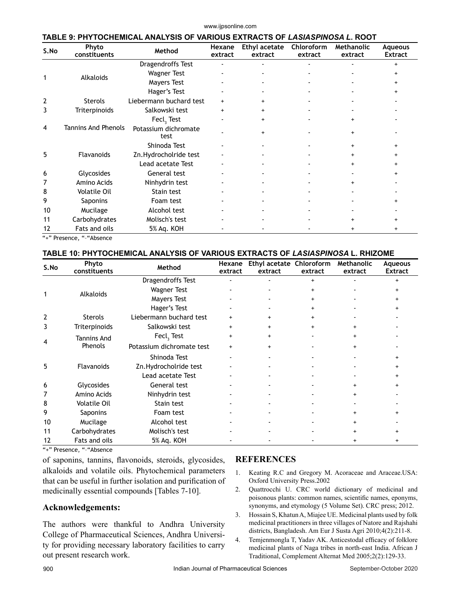| S.No | Phyto                      | ANALYSIS OF VARIOUS EXTRACTS OF <i>LASIASPINOSA L</i> . ROOT<br>Method | Hexane    | Ethyl acetate | Chloroform | Methanolic | Aqueous        |
|------|----------------------------|------------------------------------------------------------------------|-----------|---------------|------------|------------|----------------|
|      | constituents               |                                                                        | extract   | extract       | extract    | extract    | <b>Extract</b> |
|      |                            | Dragendroffs Test                                                      |           |               |            |            | $\ddot{}$      |
|      | <b>Alkaloids</b>           | <b>Wagner Test</b>                                                     |           |               |            |            |                |
|      |                            | Mayers Test                                                            |           |               |            |            |                |
|      |                            | Hager's Test                                                           |           |               |            |            |                |
| 2    | <b>Sterols</b>             | Liebermann buchard test                                                | $+$       |               |            |            |                |
| 3    | Triterpinoids              | Salkowski test                                                         | $\ddot{}$ | $^{+}$        |            |            |                |
|      |                            | Fecl, Test                                                             |           |               |            | $\ddot{}$  |                |
| 4    | <b>Tannins And Phenols</b> | Potassium dichromate<br>test                                           |           |               |            | $\ddot{}$  |                |
|      |                            | Shinoda Test                                                           |           |               |            |            |                |
| 5    | Flavanoids                 | Zn.Hydrocholride test                                                  |           |               |            | $\ddot{}$  | $\ddot{}$      |
|      |                            | Lead acetate Test                                                      |           |               |            | $\ddot{}$  |                |
| 6    | Glycosides                 | General test                                                           |           |               |            |            |                |
| 7    | Amino Acids                | Ninhydrin test                                                         |           |               |            |            |                |
| 8    | <b>Volatile Oil</b>        | Stain test                                                             |           |               |            |            |                |
| 9    | Saponins                   | Foam test                                                              |           |               |            |            |                |
| 10   | Mucilage                   | Alcohol test                                                           |           |               |            |            |                |
| 11   | Carbohydrates              | Molisch's test                                                         |           |               |            |            |                |
| 12   | Fats and oils              | 5% Aq. KOH                                                             |           |               |            | $\ddot{}$  |                |

"+" Presence, "-"Absence

## **TABLE 10: PHYTOCHEMICAL ANALYSIS OF VARIOUS EXTRACTS OF** *LASIASPINOSA* **L. RHIZOME**

| S.No           | Phyto<br>constituents         | Method                    | Hexane<br>extract | Ethyl acetate Chloroform<br>extract | extract   | <b>Methanolic</b><br>extract | Aqueous<br><b>Extract</b> |
|----------------|-------------------------------|---------------------------|-------------------|-------------------------------------|-----------|------------------------------|---------------------------|
|                | Alkaloids                     | Dragendroffs Test         |                   |                                     | $+$       |                              | $\ddot{}$                 |
|                |                               | <b>Wagner Test</b>        |                   |                                     | $\ddot{}$ |                              | $\ddot{}$                 |
|                |                               | <b>Mayers Test</b>        |                   |                                     | $\ddot{}$ |                              | +                         |
|                |                               | Hager's Test              |                   |                                     |           |                              |                           |
| $\overline{2}$ | <b>Sterols</b>                | Liebermann buchard test   |                   | $\ddot{}$                           |           |                              |                           |
| 3              | Triterpinoids                 | Salkowski test            | $\ddot{}$         | $\ddot{}$                           | $\ddot{}$ | $\ddot{}$                    |                           |
| 4              | <b>Tannins And</b><br>Phenols | Fecl, Test                | $\ddot{}$         | $\ddot{}$                           |           | $^{+}$                       |                           |
|                |                               | Potassium dichromate test | $+$               | $\ddot{}$                           |           | $\ddot{}$                    |                           |
| 5              | <b>Flavanoids</b>             | Shinoda Test              |                   |                                     |           |                              |                           |
|                |                               | Zn.Hydrocholride test     |                   |                                     |           |                              | $\ddot{}$                 |
|                |                               | Lead acetate Test         |                   |                                     |           |                              | $\ddot{}$                 |
| 6              | Glycosides                    | General test              |                   |                                     |           | $\ddot{}$                    | +                         |
|                | Amino Acids                   | Ninhydrin test            |                   |                                     |           | $\ddot{}$                    |                           |
| 8              | <b>Volatile Oil</b>           | Stain test                |                   |                                     |           |                              |                           |
| 9              | Saponins                      | Foam test                 |                   |                                     |           | $^{+}$                       | +                         |
| 10             | Mucilage                      | Alcohol test              |                   |                                     |           |                              |                           |
| 11             | Carbohydrates                 | Molisch's test            |                   |                                     |           |                              |                           |
| 12             | Fats and oils                 | 5% Aq. KOH                |                   |                                     |           | $\ddot{}$                    |                           |

"+" Presence, "–"Absence

of saponins, tannins, flavonoids, steroids, glycosides, alkaloids and volatile oils. Phytochemical parameters that can be useful in further isolation and purification of medicinally essential compounds [Tables 7-10].

## **Acknowledgements:**

The authors were thankful to Andhra University College of Pharmaceutical Sciences, Andhra University for providing necessary laboratory facilities to carry out present research work.

## **REFERENCES**

- 1. Keating R.C and Gregory M. Acoraceae and Araceae.USA: Oxford University Press.2002
- 2. Quattrocchi U. CRC world dictionary of medicinal and poisonous plants: common names, scientific names, eponyms, synonyms, and etymology (5 Volume Set). CRC press; 2012.
- 3. Hossain S, Khatun A, Miajee UE. Medicinal plants used by folk medicinal practitioners in three villages of Natore and Rajshahi districts, Bangladesh. Am Eur J Susta Agri 2010;4(2):211-8.
- 4. Temjenmongla T, Yadav AK. Anticestodal efficacy of folklore medicinal plants of Naga tribes in north-east India. African J Traditional, Complement Alternat Med 2005;2(2):129-33.